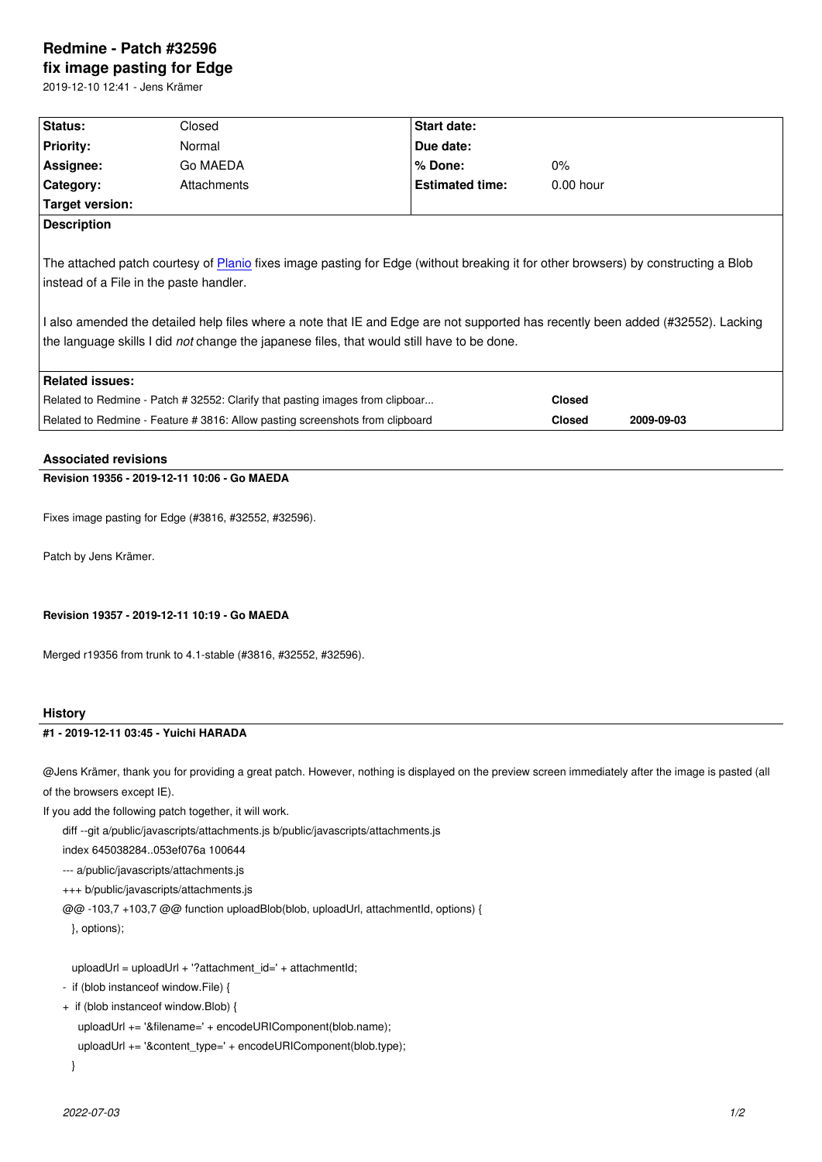#### **fix image pasting for Edge**

2019-12-10 12:41 - Jens Krämer

| Status:                                                                                                                                                                                                                                                                                                                                                                                                         | Closed      | Start date:            |               |             |            |  |  |
|-----------------------------------------------------------------------------------------------------------------------------------------------------------------------------------------------------------------------------------------------------------------------------------------------------------------------------------------------------------------------------------------------------------------|-------------|------------------------|---------------|-------------|------------|--|--|
| <b>Priority:</b>                                                                                                                                                                                                                                                                                                                                                                                                | Normal      | Due date:              |               |             |            |  |  |
| Assignee:                                                                                                                                                                                                                                                                                                                                                                                                       | Go MAEDA    | % Done:                | $0\%$         |             |            |  |  |
| Category:                                                                                                                                                                                                                                                                                                                                                                                                       | Attachments | <b>Estimated time:</b> |               | $0.00$ hour |            |  |  |
| Target version:                                                                                                                                                                                                                                                                                                                                                                                                 |             |                        |               |             |            |  |  |
| <b>Description</b>                                                                                                                                                                                                                                                                                                                                                                                              |             |                        |               |             |            |  |  |
| The attached patch courtesy of Planio fixes image pasting for Edge (without breaking it for other browsers) by constructing a Blob<br>instead of a File in the paste handler.<br>l also amended the detailed help files where a note that IE and Edge are not supported has recently been added (#32552). Lacking<br>the language skills I did not change the japanese files, that would still have to be done. |             |                        |               |             |            |  |  |
| <b>Related issues:</b>                                                                                                                                                                                                                                                                                                                                                                                          |             |                        |               |             |            |  |  |
| Related to Redmine - Patch # 32552: Clarify that pasting images from clipboar                                                                                                                                                                                                                                                                                                                                   |             |                        | <b>Closed</b> |             |            |  |  |
| Related to Redmine - Feature # 3816: Allow pasting screenshots from clipboard                                                                                                                                                                                                                                                                                                                                   |             |                        | <b>Closed</b> |             | 2009-09-03 |  |  |
|                                                                                                                                                                                                                                                                                                                                                                                                                 |             |                        |               |             |            |  |  |

#### **Associated revisions**

# **Revision 19356 - 2019-12-11 10:06 - Go MAEDA**

Fixes image pasting for Edge (#3816, #32552, #32596).

Patch by Jens Krämer.

### **Revision 19357 - 2019-12-11 10:19 - Go MAEDA**

Merged r19356 from trunk to 4.1-stable (#3816, #32552, #32596).

#### **History**

## **#1 - 2019-12-11 03:45 - Yuichi HARADA**

@Jens Krämer, thank you for providing a great patch. However, nothing is displayed on the preview screen immediately after the image is pasted (all of the browsers except IE).

If you add the following patch together, it will work.

diff --git a/public/javascripts/attachments.js b/public/javascripts/attachments.js

index 645038284..053ef076a 100644

--- a/public/javascripts/attachments.js

+++ b/public/javascripts/attachments.js

@@ -103,7 +103,7 @@ function uploadBlob(blob, uploadUrl, attachmentId, options) {

}, options);

uploadUrl = uploadUrl + '?attachment\_id=' + attachmentId;

- if (blob instanceof window.File) {
- + if (blob instanceof window.Blob) {

```
 uploadUrl += '&filename=' + encodeURIComponent(blob.name);
```

```
 uploadUrl += '&content_type=' + encodeURIComponent(blob.type);
```

```
 }
```